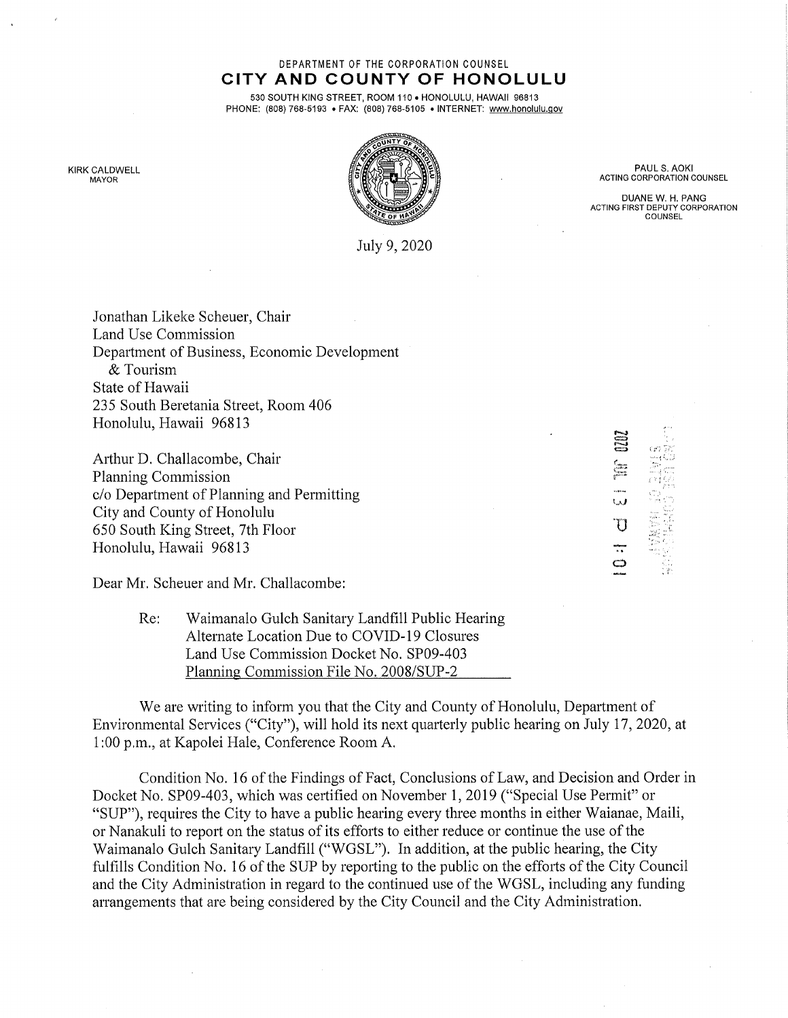## DEPARTMENT OF THE CORPORATION COUNSEL CITY AND COUNTY OF HONOLULU

530 SOUTH KING STREET, ROOM 110 . HONOLULU, HAWAII 96813 PHONE: (808) 768-5193 . FAX: (808) 768-5105 . INTERNET: www.honolulu.gov



PAUL S. AOKI ACTING CORPORATION COUNSEL

DUANE W. H. PANG ACTING FIRST DEPUTY CORPORATION COUNSEL

 $\equiv$ 

 $\tau$ 

o

KIRK CALDWELL MAYOR

July 9, 2020

Jonathan Likeke Scheuer, Chair Land Use Commission Department of Business, Economic Development & Tourism State of Hawaii 235 South Beretania Street, Room 406 Honolulu, Hawaii 96813

Arthur D. Challacombe, Chair Planning Commission c/o Department of Planning and Permitting City and County of Honolulu 650 South King Street, 7th Floor Honolulu, Hawaii 96813

Dear Mr. Scheuer and Mr. Challacombe:

| Re: | Waimanalo Gulch Sanitary Landfill Public Hearing |
|-----|--------------------------------------------------|
|     | Alternate Location Due to COVID-19 Closures      |
|     | Land Use Commission Docket No. SP09-403          |
|     | Planning Commission File No. 2008/SUP-2          |

We are writing to inform you that the City and County of Honolulu, Department of Environmental Services ("City"), will hold its next quarterly public hearing on July 17, 2020, at 1:00 p.m., at Kapolei Hale, Conference Room A.

Condition No. 16 of the Findings of Fact, Conclusions of Law, and Decision and Order in Docket No. SP09-403, which was certified on November 1, 2019 ("Special Use Permit" or "SUP"), requires the City to have a public hearing every three months in either Waianae, Maili, or Nanakuli to report on the status of its efforts to either reduce or continue the use of the Waimanalo Gulch Sanitary Landfill ("WGSL"). In addition, at the public hearing, the City fulfills Condition No. 16 of the SUP by reporting to the public on the efforts of the City Council and the City Administration in regard to the continued use of the WGSL, including any funding arrangements that are being considered by the City Council and the City Administration.